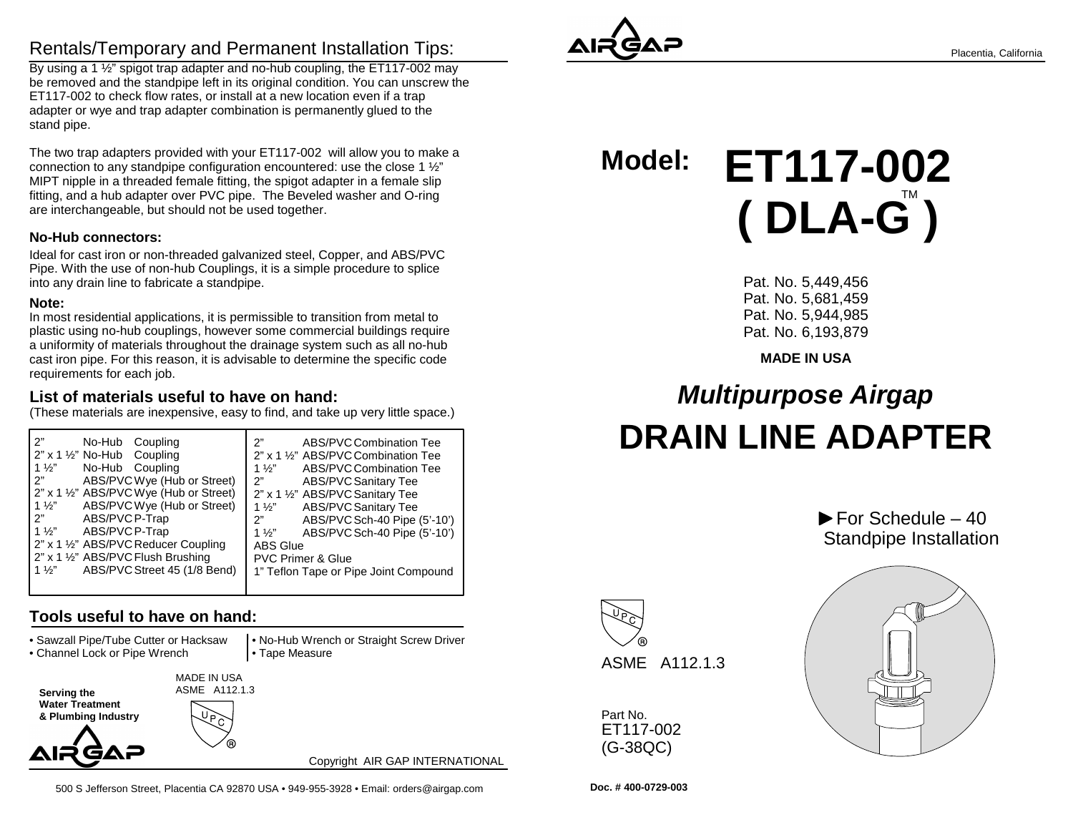# Rentals/Temporary and Permanent Installation Tips:

 By using a 1 ½" spigot trap adapter and no-hub coupling, the ET117-002 may be removed and the standpipe left in its original condition. You can unscrew theET117-002 to check flow rates, or install at a new location even if a trap adapter or wye and trap adapter combination is permanently glued to thestand pipe.

The two trap adapters provided with your ET117-002 will allow you to make aconnection to any standpipe configuration encountered: use the close 1 ½" MIPT nipple in a threaded female fitting, the spigot adapter in a female slip fitting, and a hub adapter over PVC pipe. The Beveled washer and O-ringare interchangeable, but should not be used together.

#### **No-Hub connectors:**

Ideal for cast iron or non-threaded galvanized steel, Copper, and ABS/PVC Pipe. With the use of non-hub Couplings, it is a simple procedure to spliceinto any drain line to fabricate a standpipe.

#### **Note:**

 In most residential applications, it is permissible to transition from metal to plastic using no-hub couplings, however some commercial buildings require a uniformity of materials throughout the drainage system such as all no-hub cast iron pipe. For this reason, it is advisable to determine the specific coderequirements for each job.

### **List of materials useful to have on hand:**

(These materials are inexpensive, easy to find, and take up very little space.)

| 2"                                             | ABS/PVC Combination Tee               |
|------------------------------------------------|---------------------------------------|
| No-Hub Coupling                                | 2"                                    |
| $2"$ x 1 $\frac{1}{2}"$ No-Hub Coupling        | 2" x 1 1/2" ABS/PVC Combination Tee   |
| $1\frac{1}{2}$                                 | 1 $\frac{1}{2}$                       |
| No-Hub Coupling                                | ABS/PVC Combination Tee               |
| ABS/PVC Wye (Hub or Street)                    | 2"                                    |
| 2"                                             | <b>ABS/PVC Sanitary Tee</b>           |
| 2" x 1 1/2" ABS/PVC Wye (Hub or Street)        | 2" x 1 1/2" ABS/PVC Sanitary Tee      |
| ABS/PVC Wye (Hub or Street)                    | <b>ABS/PVC Sanitary Tee</b>           |
| $1\frac{1}{2}$                                 | $1\frac{1}{2}$                        |
| 2"                                             | ABS/PVC Sch-40 Pipe (5'-10')          |
| ABS/PVC P-Trap                                 | 2"                                    |
| $1\frac{1}{2}$                                 | ABS/PVC Sch-40 Pipe (5'-10')          |
| ABS/PVC P-Trap                                 | $1\frac{1}{2}$                        |
| 2" x 1 1/2" ABS/PVC Reducer Coupling           | <b>ABS Glue</b>                       |
| 2" x 1 1/2" ABS/PVC Flush Brushing             | <b>PVC Primer &amp; Glue</b>          |
| ABS/PVC Street 45 (1/8 Bend)<br>$1\frac{1}{2}$ | 1" Teflon Tape or Pipe Joint Compound |
|                                                |                                       |

## **Tools useful to have on hand:**

• Sawzall Pipe/Tube Cutter or Hacksaw

• Channel Lock or Pipe Wrench

 • No-Hub Wrench or Straight Screw Driver• Tape Measure

**Serving the Water Treatment & Plumbing Industry** MADE IN USAASME A112.1.3

AIR GAF

Copyright AIR GAP INTERNATIONAL



**Model: ET117-002( DLA-G )** 

> Pat. No. 5,449,456 Pat. No. 5,681,459 Pat. No. 5,944,985Pat. No. 6,193,879

#### **MADE IN USA**

# **Multipurpose AirgapDRAIN LINE ADAPTER**





Part No. ET117-002(G-38QC)



 $\blacktriangleright$  For Schedule – 40

**Doc. # 400-0729-003**